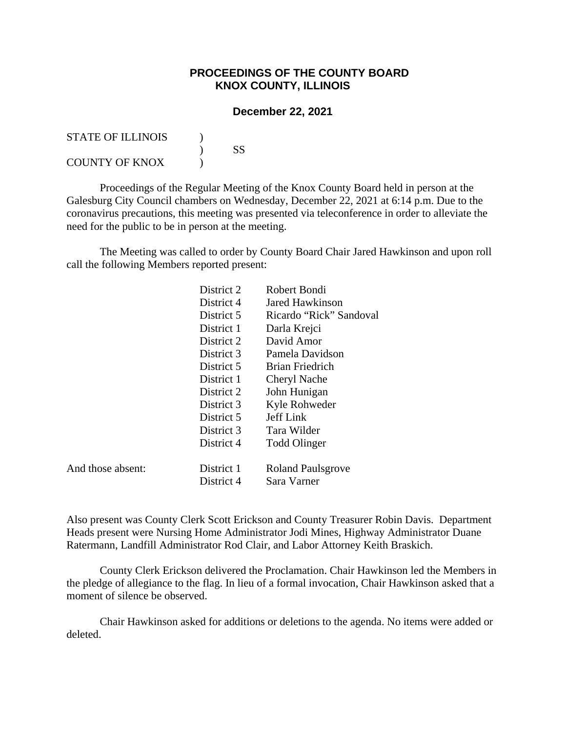## **PROCEEDINGS OF THE COUNTY BOARD KNOX COUNTY, ILLINOIS**

## **December 22, 2021**

| <b>STATE OF ILLINOIS</b> |    |
|--------------------------|----|
|                          | SS |
| <b>COUNTY OF KNOX</b>    |    |

 Proceedings of the Regular Meeting of the Knox County Board held in person at the Galesburg City Council chambers on Wednesday, December 22, 2021 at 6:14 p.m. Due to the coronavirus precautions, this meeting was presented via teleconference in order to alleviate the need for the public to be in person at the meeting.

 The Meeting was called to order by County Board Chair Jared Hawkinson and upon roll call the following Members reported present:

|                   | District 2 | Robert Bondi              |  |
|-------------------|------------|---------------------------|--|
|                   | District 4 | Jared Hawkinson           |  |
|                   | District 5 | Ricardo "Rick" Sandoval   |  |
|                   | District 1 | Darla Krejci              |  |
|                   | District 2 | David Amor                |  |
|                   | District 3 | Pamela Davidson           |  |
|                   | District 5 | Brian Friedrich           |  |
|                   | District 1 | Cheryl Nache              |  |
|                   | District 2 | John Hunigan              |  |
|                   | District 3 | Kyle Rohweder             |  |
|                   | District 5 | Jeff Link                 |  |
|                   | District 3 | Tara Wilder               |  |
|                   | District 4 | <b>Todd Olinger</b>       |  |
|                   |            |                           |  |
| And those absent: | District 1 | <b>Roland Pauls grove</b> |  |
|                   | District 4 | Sara Varner               |  |

Also present was County Clerk Scott Erickson and County Treasurer Robin Davis. Department Heads present were Nursing Home Administrator Jodi Mines, Highway Administrator Duane Ratermann, Landfill Administrator Rod Clair, and Labor Attorney Keith Braskich.

County Clerk Erickson delivered the Proclamation. Chair Hawkinson led the Members in the pledge of allegiance to the flag. In lieu of a formal invocation, Chair Hawkinson asked that a moment of silence be observed.

 Chair Hawkinson asked for additions or deletions to the agenda. No items were added or deleted.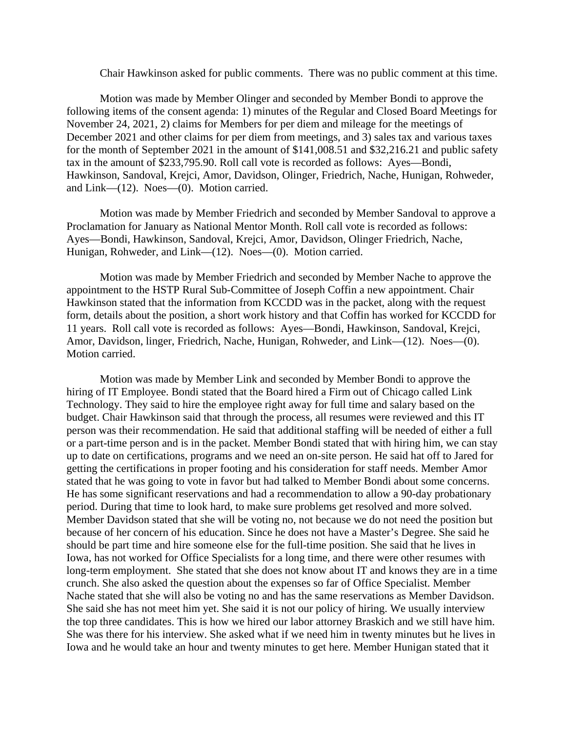Chair Hawkinson asked for public comments. There was no public comment at this time.

Motion was made by Member Olinger and seconded by Member Bondi to approve the following items of the consent agenda: 1) minutes of the Regular and Closed Board Meetings for November 24, 2021, 2) claims for Members for per diem and mileage for the meetings of December 2021 and other claims for per diem from meetings, and 3) sales tax and various taxes for the month of September 2021 in the amount of \$141,008.51 and \$32,216.21 and public safety tax in the amount of \$233,795.90. Roll call vote is recorded as follows: Ayes—Bondi, Hawkinson, Sandoval, Krejci, Amor, Davidson, Olinger, Friedrich, Nache, Hunigan, Rohweder, and Link—(12). Noes—(0). Motion carried.

Motion was made by Member Friedrich and seconded by Member Sandoval to approve a Proclamation for January as National Mentor Month. Roll call vote is recorded as follows: Ayes—Bondi, Hawkinson, Sandoval, Krejci, Amor, Davidson, Olinger Friedrich, Nache, Hunigan, Rohweder, and Link—(12). Noes—(0). Motion carried.

Motion was made by Member Friedrich and seconded by Member Nache to approve the appointment to the HSTP Rural Sub-Committee of Joseph Coffin a new appointment. Chair Hawkinson stated that the information from KCCDD was in the packet, along with the request form, details about the position, a short work history and that Coffin has worked for KCCDD for 11 years. Roll call vote is recorded as follows: Ayes—Bondi, Hawkinson, Sandoval, Krejci, Amor, Davidson, linger, Friedrich, Nache, Hunigan, Rohweder, and Link—(12). Noes—(0). Motion carried.

Motion was made by Member Link and seconded by Member Bondi to approve the hiring of IT Employee. Bondi stated that the Board hired a Firm out of Chicago called Link Technology. They said to hire the employee right away for full time and salary based on the budget. Chair Hawkinson said that through the process, all resumes were reviewed and this IT person was their recommendation. He said that additional staffing will be needed of either a full or a part-time person and is in the packet. Member Bondi stated that with hiring him, we can stay up to date on certifications, programs and we need an on-site person. He said hat off to Jared for getting the certifications in proper footing and his consideration for staff needs. Member Amor stated that he was going to vote in favor but had talked to Member Bondi about some concerns. He has some significant reservations and had a recommendation to allow a 90-day probationary period. During that time to look hard, to make sure problems get resolved and more solved. Member Davidson stated that she will be voting no, not because we do not need the position but because of her concern of his education. Since he does not have a Master's Degree. She said he should be part time and hire someone else for the full-time position. She said that he lives in Iowa, has not worked for Office Specialists for a long time, and there were other resumes with long-term employment. She stated that she does not know about IT and knows they are in a time crunch. She also asked the question about the expenses so far of Office Specialist. Member Nache stated that she will also be voting no and has the same reservations as Member Davidson. She said she has not meet him yet. She said it is not our policy of hiring. We usually interview the top three candidates. This is how we hired our labor attorney Braskich and we still have him. She was there for his interview. She asked what if we need him in twenty minutes but he lives in Iowa and he would take an hour and twenty minutes to get here. Member Hunigan stated that it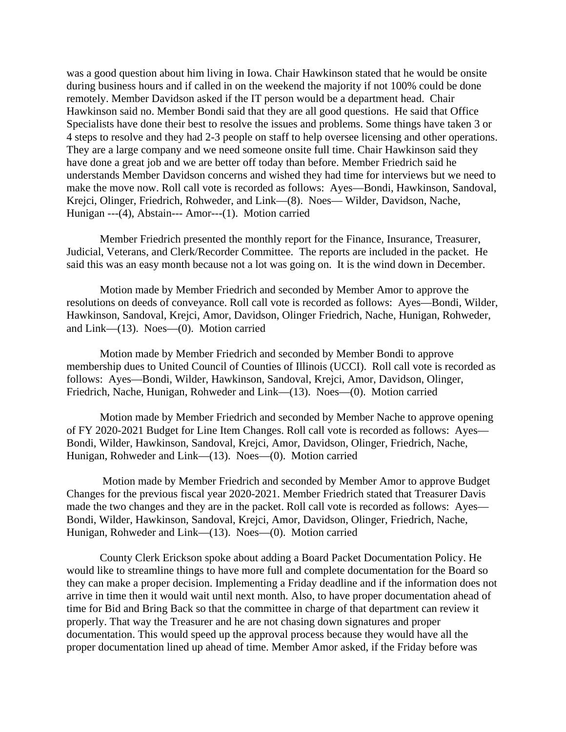was a good question about him living in Iowa. Chair Hawkinson stated that he would be onsite during business hours and if called in on the weekend the majority if not 100% could be done remotely. Member Davidson asked if the IT person would be a department head. Chair Hawkinson said no. Member Bondi said that they are all good questions. He said that Office Specialists have done their best to resolve the issues and problems. Some things have taken 3 or 4 steps to resolve and they had 2-3 people on staff to help oversee licensing and other operations. They are a large company and we need someone onsite full time. Chair Hawkinson said they have done a great job and we are better off today than before. Member Friedrich said he understands Member Davidson concerns and wished they had time for interviews but we need to make the move now. Roll call vote is recorded as follows: Ayes—Bondi, Hawkinson, Sandoval, Krejci, Olinger, Friedrich, Rohweder, and Link—(8). Noes— Wilder, Davidson, Nache, Hunigan ---(4), Abstain--- Amor---(1). Motion carried

 Member Friedrich presented the monthly report for the Finance, Insurance, Treasurer, Judicial, Veterans, and Clerk/Recorder Committee. The reports are included in the packet. He said this was an easy month because not a lot was going on. It is the wind down in December.

Motion made by Member Friedrich and seconded by Member Amor to approve the resolutions on deeds of conveyance. Roll call vote is recorded as follows: Ayes—Bondi, Wilder, Hawkinson, Sandoval, Krejci, Amor, Davidson, Olinger Friedrich, Nache, Hunigan, Rohweder, and Link—(13). Noes—(0). Motion carried

Motion made by Member Friedrich and seconded by Member Bondi to approve membership dues to United Council of Counties of Illinois (UCCI). Roll call vote is recorded as follows: Ayes—Bondi, Wilder, Hawkinson, Sandoval, Krejci, Amor, Davidson, Olinger, Friedrich, Nache, Hunigan, Rohweder and Link—(13). Noes—(0). Motion carried

Motion made by Member Friedrich and seconded by Member Nache to approve opening of FY 2020-2021 Budget for Line Item Changes. Roll call vote is recorded as follows: Ayes— Bondi, Wilder, Hawkinson, Sandoval, Krejci, Amor, Davidson, Olinger, Friedrich, Nache, Hunigan, Rohweder and Link—(13). Noes—(0). Motion carried

 Motion made by Member Friedrich and seconded by Member Amor to approve Budget Changes for the previous fiscal year 2020-2021. Member Friedrich stated that Treasurer Davis made the two changes and they are in the packet. Roll call vote is recorded as follows: Ayes— Bondi, Wilder, Hawkinson, Sandoval, Krejci, Amor, Davidson, Olinger, Friedrich, Nache, Hunigan, Rohweder and Link—(13). Noes—(0). Motion carried

County Clerk Erickson spoke about adding a Board Packet Documentation Policy. He would like to streamline things to have more full and complete documentation for the Board so they can make a proper decision. Implementing a Friday deadline and if the information does not arrive in time then it would wait until next month. Also, to have proper documentation ahead of time for Bid and Bring Back so that the committee in charge of that department can review it properly. That way the Treasurer and he are not chasing down signatures and proper documentation. This would speed up the approval process because they would have all the proper documentation lined up ahead of time. Member Amor asked, if the Friday before was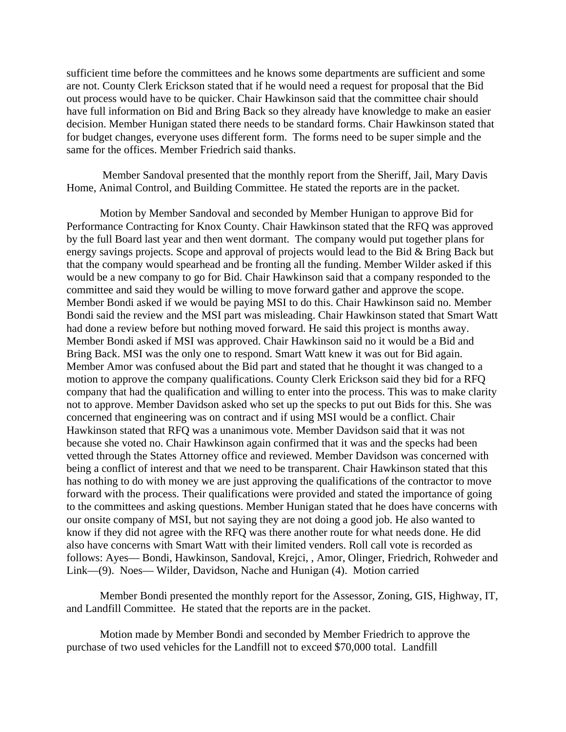sufficient time before the committees and he knows some departments are sufficient and some are not. County Clerk Erickson stated that if he would need a request for proposal that the Bid out process would have to be quicker. Chair Hawkinson said that the committee chair should have full information on Bid and Bring Back so they already have knowledge to make an easier decision. Member Hunigan stated there needs to be standard forms. Chair Hawkinson stated that for budget changes, everyone uses different form. The forms need to be super simple and the same for the offices. Member Friedrich said thanks.

 Member Sandoval presented that the monthly report from the Sheriff, Jail, Mary Davis Home, Animal Control, and Building Committee. He stated the reports are in the packet.

Motion by Member Sandoval and seconded by Member Hunigan to approve Bid for Performance Contracting for Knox County. Chair Hawkinson stated that the RFQ was approved by the full Board last year and then went dormant. The company would put together plans for energy savings projects. Scope and approval of projects would lead to the Bid & Bring Back but that the company would spearhead and be fronting all the funding. Member Wilder asked if this would be a new company to go for Bid. Chair Hawkinson said that a company responded to the committee and said they would be willing to move forward gather and approve the scope. Member Bondi asked if we would be paying MSI to do this. Chair Hawkinson said no. Member Bondi said the review and the MSI part was misleading. Chair Hawkinson stated that Smart Watt had done a review before but nothing moved forward. He said this project is months away. Member Bondi asked if MSI was approved. Chair Hawkinson said no it would be a Bid and Bring Back. MSI was the only one to respond. Smart Watt knew it was out for Bid again. Member Amor was confused about the Bid part and stated that he thought it was changed to a motion to approve the company qualifications. County Clerk Erickson said they bid for a RFQ company that had the qualification and willing to enter into the process. This was to make clarity not to approve. Member Davidson asked who set up the specks to put out Bids for this. She was concerned that engineering was on contract and if using MSI would be a conflict. Chair Hawkinson stated that RFQ was a unanimous vote. Member Davidson said that it was not because she voted no. Chair Hawkinson again confirmed that it was and the specks had been vetted through the States Attorney office and reviewed. Member Davidson was concerned with being a conflict of interest and that we need to be transparent. Chair Hawkinson stated that this has nothing to do with money we are just approving the qualifications of the contractor to move forward with the process. Their qualifications were provided and stated the importance of going to the committees and asking questions. Member Hunigan stated that he does have concerns with our onsite company of MSI, but not saying they are not doing a good job. He also wanted to know if they did not agree with the RFQ was there another route for what needs done. He did also have concerns with Smart Watt with their limited venders. Roll call vote is recorded as follows: Ayes— Bondi, Hawkinson, Sandoval, Krejci, , Amor, Olinger, Friedrich, Rohweder and Link—(9). Noes— Wilder, Davidson, Nache and Hunigan (4). Motion carried

Member Bondi presented the monthly report for the Assessor, Zoning, GIS, Highway, IT, and Landfill Committee. He stated that the reports are in the packet.

Motion made by Member Bondi and seconded by Member Friedrich to approve the purchase of two used vehicles for the Landfill not to exceed \$70,000 total. Landfill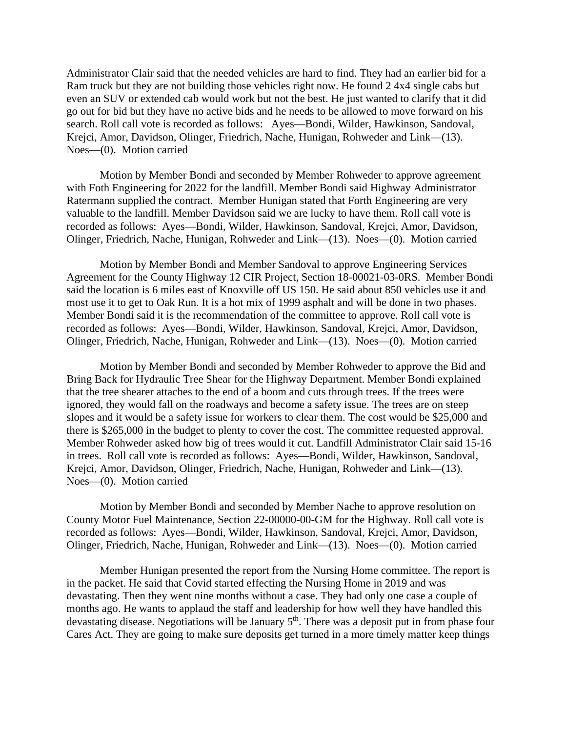Administrator Clair said that the needed vehicles are hard to find. They had an earlier bid for a Ram truck but they are not building those vehicles right now. He found 2 4x4 single cabs but even an SUV or extended cab would work but not the best. He just wanted to clarify that it did go out for bid but they have no active bids and he needs to be allowed to move forward on his search. Roll call vote is recorded as follows: Ayes—Bondi, Wilder, Hawkinson, Sandoval, Krejci, Amor, Davidson, Olinger, Friedrich, Nache, Hunigan, Rohweder and Link—(13). Noes—(0). Motion carried

Motion by Member Bondi and seconded by Member Rohweder to approve agreement with Foth Engineering for 2022 for the landfill. Member Bondi said Highway Administrator Ratermann supplied the contract. Member Hunigan stated that Forth Engineering are very valuable to the landfill. Member Davidson said we are lucky to have them. Roll call vote is recorded as follows: Ayes—Bondi, Wilder, Hawkinson, Sandoval, Krejci, Amor, Davidson, Olinger, Friedrich, Nache, Hunigan, Rohweder and Link—(13). Noes—(0). Motion carried

Motion by Member Bondi and Member Sandoval to approve Engineering Services Agreement for the County Highway 12 CIR Project, Section 18-00021-03-0RS. Member Bondi said the location is 6 miles east of Knoxville off US 150. He said about 850 vehicles use it and most use it to get to Oak Run. It is a hot mix of 1999 asphalt and will be done in two phases. Member Bondi said it is the recommendation of the committee to approve. Roll call vote is recorded as follows: Ayes—Bondi, Wilder, Hawkinson, Sandoval, Krejci, Amor, Davidson, Olinger, Friedrich, Nache, Hunigan, Rohweder and Link—(13). Noes—(0). Motion carried

Motion by Member Bondi and seconded by Member Rohweder to approve the Bid and Bring Back for Hydraulic Tree Shear for the Highway Department. Member Bondi explained that the tree shearer attaches to the end of a boom and cuts through trees. If the trees were ignored, they would fall on the roadways and become a safety issue. The trees are on steep slopes and it would be a safety issue for workers to clear them. The cost would be \$25,000 and there is \$265,000 in the budget to plenty to cover the cost. The committee requested approval. Member Rohweder asked how big of trees would it cut. Landfill Administrator Clair said 15-16 in trees. Roll call vote is recorded as follows: Ayes—Bondi, Wilder, Hawkinson, Sandoval, Krejci, Amor, Davidson, Olinger, Friedrich, Nache, Hunigan, Rohweder and Link—(13). Noes—(0). Motion carried

Motion by Member Bondi and seconded by Member Nache to approve resolution on County Motor Fuel Maintenance, Section 22-00000-00-GM for the Highway. Roll call vote is recorded as follows: Ayes—Bondi, Wilder, Hawkinson, Sandoval, Krejci, Amor, Davidson, Olinger, Friedrich, Nache, Hunigan, Rohweder and Link—(13). Noes—(0). Motion carried

Member Hunigan presented the report from the Nursing Home committee. The report is in the packet. He said that Covid started effecting the Nursing Home in 2019 and was devastating. Then they went nine months without a case. They had only one case a couple of months ago. He wants to applaud the staff and leadership for how well they have handled this devastating disease. Negotiations will be January  $5<sup>th</sup>$ . There was a deposit put in from phase four Cares Act. They are going to make sure deposits get turned in a more timely matter keep things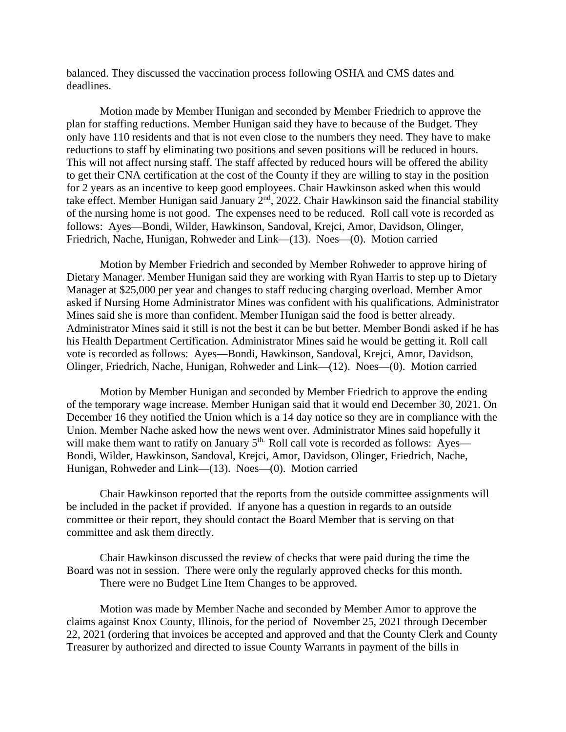balanced. They discussed the vaccination process following OSHA and CMS dates and deadlines.

Motion made by Member Hunigan and seconded by Member Friedrich to approve the plan for staffing reductions. Member Hunigan said they have to because of the Budget. They only have 110 residents and that is not even close to the numbers they need. They have to make reductions to staff by eliminating two positions and seven positions will be reduced in hours. This will not affect nursing staff. The staff affected by reduced hours will be offered the ability to get their CNA certification at the cost of the County if they are willing to stay in the position for 2 years as an incentive to keep good employees. Chair Hawkinson asked when this would take effect. Member Hunigan said January 2nd, 2022. Chair Hawkinson said the financial stability of the nursing home is not good. The expenses need to be reduced. Roll call vote is recorded as follows: Ayes—Bondi, Wilder, Hawkinson, Sandoval, Krejci, Amor, Davidson, Olinger, Friedrich, Nache, Hunigan, Rohweder and Link—(13). Noes—(0). Motion carried

Motion by Member Friedrich and seconded by Member Rohweder to approve hiring of Dietary Manager. Member Hunigan said they are working with Ryan Harris to step up to Dietary Manager at \$25,000 per year and changes to staff reducing charging overload. Member Amor asked if Nursing Home Administrator Mines was confident with his qualifications. Administrator Mines said she is more than confident. Member Hunigan said the food is better already. Administrator Mines said it still is not the best it can be but better. Member Bondi asked if he has his Health Department Certification. Administrator Mines said he would be getting it. Roll call vote is recorded as follows: Ayes—Bondi, Hawkinson, Sandoval, Krejci, Amor, Davidson, Olinger, Friedrich, Nache, Hunigan, Rohweder and Link—(12). Noes—(0). Motion carried

Motion by Member Hunigan and seconded by Member Friedrich to approve the ending of the temporary wage increase. Member Hunigan said that it would end December 30, 2021. On December 16 they notified the Union which is a 14 day notice so they are in compliance with the Union. Member Nache asked how the news went over. Administrator Mines said hopefully it will make them want to ratify on January  $5<sup>th</sup>$ . Roll call vote is recorded as follows: Ayes— Bondi, Wilder, Hawkinson, Sandoval, Krejci, Amor, Davidson, Olinger, Friedrich, Nache, Hunigan, Rohweder and Link—(13). Noes—(0). Motion carried

Chair Hawkinson reported that the reports from the outside committee assignments will be included in the packet if provided. If anyone has a question in regards to an outside committee or their report, they should contact the Board Member that is serving on that committee and ask them directly.

Chair Hawkinson discussed the review of checks that were paid during the time the Board was not in session. There were only the regularly approved checks for this month. There were no Budget Line Item Changes to be approved.

Motion was made by Member Nache and seconded by Member Amor to approve the claims against Knox County, Illinois, for the period of November 25, 2021 through December 22, 2021 (ordering that invoices be accepted and approved and that the County Clerk and County Treasurer by authorized and directed to issue County Warrants in payment of the bills in